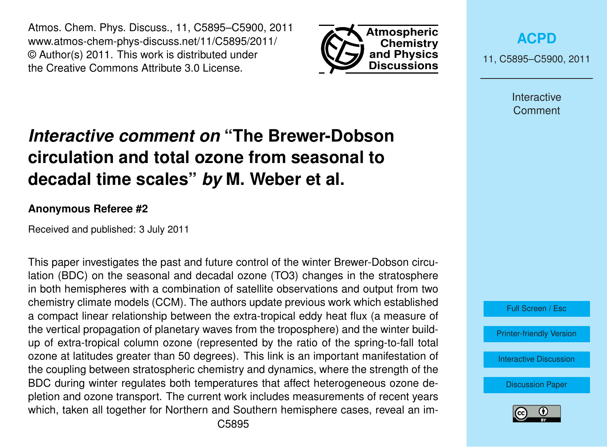Atmos. Chem. Phys. Discuss., 11, C5895–C5900, 2011 www.atmos-chem-phys-discuss.net/11/C5895/2011/ © Author(s) 2011. This work is distributed under the Creative Commons Attribute 3.0 License.



**[ACPD](http://www.atmos-chem-phys-discuss.net)**

11, C5895–C5900, 2011

Interactive **Comment** 

# *Interactive comment on* **"The Brewer-Dobson circulation and total ozone from seasonal to decadal time scales"** *by* **M. Weber et al.**

#### **Anonymous Referee #2**

Received and published: 3 July 2011

This paper investigates the past and future control of the winter Brewer-Dobson circulation (BDC) on the seasonal and decadal ozone (TO3) changes in the stratosphere in both hemispheres with a combination of satellite observations and output from two chemistry climate models (CCM). The authors update previous work which established a compact linear relationship between the extra-tropical eddy heat flux (a measure of the vertical propagation of planetary waves from the troposphere) and the winter buildup of extra-tropical column ozone (represented by the ratio of the spring-to-fall total ozone at latitudes greater than 50 degrees). This link is an important manifestation of the coupling between stratospheric chemistry and dynamics, where the strength of the BDC during winter regulates both temperatures that affect heterogeneous ozone depletion and ozone transport. The current work includes measurements of recent years which, taken all together for Northern and Southern hemisphere cases, reveal an im-



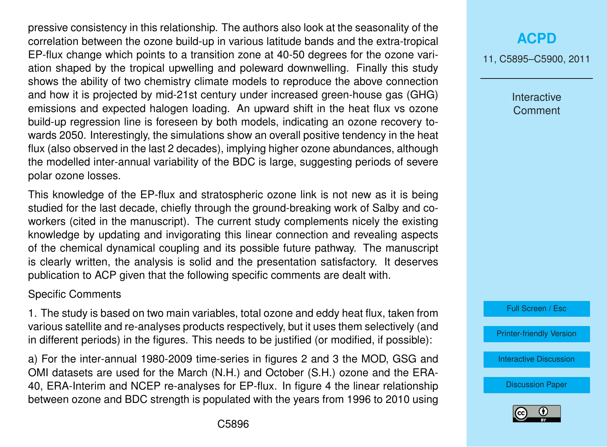pressive consistency in this relationship. The authors also look at the seasonality of the correlation between the ozone build-up in various latitude bands and the extra-tropical EP-flux change which points to a transition zone at 40-50 degrees for the ozone variation shaped by the tropical upwelling and poleward downwelling. Finally this study shows the ability of two chemistry climate models to reproduce the above connection and how it is projected by mid-21st century under increased green-house gas (GHG) emissions and expected halogen loading. An upward shift in the heat flux vs ozone build-up regression line is foreseen by both models, indicating an ozone recovery towards 2050. Interestingly, the simulations show an overall positive tendency in the heat flux (also observed in the last 2 decades), implying higher ozone abundances, although the modelled inter-annual variability of the BDC is large, suggesting periods of severe polar ozone losses.

This knowledge of the EP-flux and stratospheric ozone link is not new as it is being studied for the last decade, chiefly through the ground-breaking work of Salby and coworkers (cited in the manuscript). The current study complements nicely the existing knowledge by updating and invigorating this linear connection and revealing aspects of the chemical dynamical coupling and its possible future pathway. The manuscript is clearly written, the analysis is solid and the presentation satisfactory. It deserves publication to ACP given that the following specific comments are dealt with.

#### Specific Comments

1. The study is based on two main variables, total ozone and eddy heat flux, taken from various satellite and re-analyses products respectively, but it uses them selectively (and in different periods) in the figures. This needs to be justified (or modified, if possible):

a) For the inter-annual 1980-2009 time-series in figures 2 and 3 the MOD, GSG and OMI datasets are used for the March (N.H.) and October (S.H.) ozone and the ERA-40, ERA-Interim and NCEP re-analyses for EP-flux. In figure 4 the linear relationship between ozone and BDC strength is populated with the years from 1996 to 2010 using

### **[ACPD](http://www.atmos-chem-phys-discuss.net)**

11, C5895–C5900, 2011

Interactive **Comment** 

Full Screen / Esc

[Printer-friendly Version](http://www.atmos-chem-phys-discuss.net/11/C5895/2011/acpd-11-C5895-2011-print.pdf)

[Interactive Discussion](http://www.atmos-chem-phys-discuss.net/11/13829/2011/acpd-11-13829-2011-discussion.html)

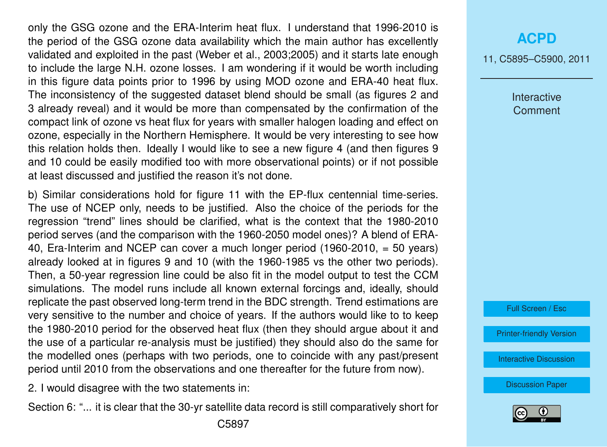only the GSG ozone and the ERA-Interim heat flux. I understand that 1996-2010 is the period of the GSG ozone data availability which the main author has excellently validated and exploited in the past (Weber et al., 2003;2005) and it starts late enough to include the large N.H. ozone losses. I am wondering if it would be worth including in this figure data points prior to 1996 by using MOD ozone and ERA-40 heat flux. The inconsistency of the suggested dataset blend should be small (as figures 2 and 3 already reveal) and it would be more than compensated by the confirmation of the compact link of ozone vs heat flux for years with smaller halogen loading and effect on ozone, especially in the Northern Hemisphere. It would be very interesting to see how this relation holds then. Ideally I would like to see a new figure 4 (and then figures 9 and 10 could be easily modified too with more observational points) or if not possible at least discussed and justified the reason it's not done.

b) Similar considerations hold for figure 11 with the EP-flux centennial time-series. The use of NCEP only, needs to be justified. Also the choice of the periods for the regression "trend" lines should be clarified, what is the context that the 1980-2010 period serves (and the comparison with the 1960-2050 model ones)? A blend of ERA-40, Era-Interim and NCEP can cover a much longer period (1960-2010, = 50 years) already looked at in figures 9 and 10 (with the 1960-1985 vs the other two periods). Then, a 50-year regression line could be also fit in the model output to test the CCM simulations. The model runs include all known external forcings and, ideally, should replicate the past observed long-term trend in the BDC strength. Trend estimations are very sensitive to the number and choice of years. If the authors would like to to keep the 1980-2010 period for the observed heat flux (then they should argue about it and the use of a particular re-analysis must be justified) they should also do the same for the modelled ones (perhaps with two periods, one to coincide with any past/present period until 2010 from the observations and one thereafter for the future from now).

2. I would disagree with the two statements in:

Section 6: "... it is clear that the 30-yr satellite data record is still comparatively short for

11, C5895–C5900, 2011

Interactive **Comment** 

Full Screen / Esc

[Printer-friendly Version](http://www.atmos-chem-phys-discuss.net/11/C5895/2011/acpd-11-C5895-2011-print.pdf)

[Interactive Discussion](http://www.atmos-chem-phys-discuss.net/11/13829/2011/acpd-11-13829-2011-discussion.html)

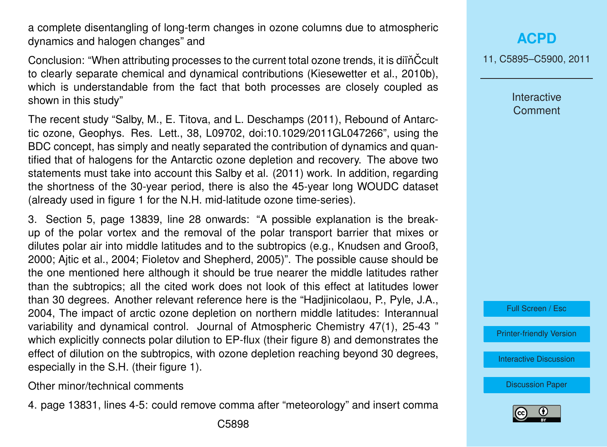a complete disentangling of long-term changes in ozone columns due to atmospheric dynamics and halogen changes" and

Conclusion: "When attributing processes to the current total ozone trends, it is diïň Ccult to clearly separate chemical and dynamical contributions (Kiesewetter et al., 2010b), which is understandable from the fact that both processes are closely coupled as shown in this study"

The recent study "Salby, M., E. Titova, and L. Deschamps (2011), Rebound of Antarctic ozone, Geophys. Res. Lett., 38, L09702, doi:10.1029/2011GL047266", using the BDC concept, has simply and neatly separated the contribution of dynamics and quantified that of halogens for the Antarctic ozone depletion and recovery. The above two statements must take into account this Salby et al. (2011) work. In addition, regarding the shortness of the 30-year period, there is also the 45-year long WOUDC dataset (already used in figure 1 for the N.H. mid-latitude ozone time-series).

3. Section 5, page 13839, line 28 onwards: "A possible explanation is the breakup of the polar vortex and the removal of the polar transport barrier that mixes or dilutes polar air into middle latitudes and to the subtropics (e.g., Knudsen and Grooß, 2000; Ajtic et al., 2004; Fioletov and Shepherd, 2005)". The possible cause should be the one mentioned here although it should be true nearer the middle latitudes rather than the subtropics; all the cited work does not look of this effect at latitudes lower than 30 degrees. Another relevant reference here is the "Hadjinicolaou, P., Pyle, J.A., 2004, The impact of arctic ozone depletion on northern middle latitudes: Interannual variability and dynamical control. Journal of Atmospheric Chemistry 47(1), 25-43 " which explicitly connects polar dilution to EP-flux (their figure 8) and demonstrates the effect of dilution on the subtropics, with ozone depletion reaching beyond 30 degrees, especially in the S.H. (their figure 1).

Other minor/technical comments

4. page 13831, lines 4-5: could remove comma after "meteorology" and insert comma

**[ACPD](http://www.atmos-chem-phys-discuss.net)**

11, C5895–C5900, 2011

Interactive **Comment** 

Full Screen / Esc

[Printer-friendly Version](http://www.atmos-chem-phys-discuss.net/11/C5895/2011/acpd-11-C5895-2011-print.pdf)

[Interactive Discussion](http://www.atmos-chem-phys-discuss.net/11/13829/2011/acpd-11-13829-2011-discussion.html)

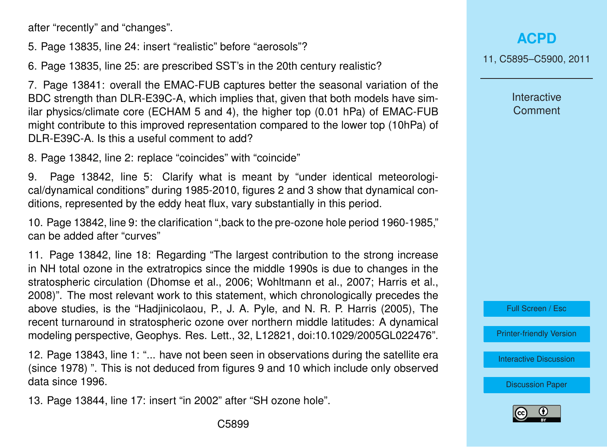after "recently" and "changes".

5. Page 13835, line 24: insert "realistic" before "aerosols"?

6. Page 13835, line 25: are prescribed SST's in the 20th century realistic?

7. Page 13841: overall the EMAC-FUB captures better the seasonal variation of the BDC strength than DLR-E39C-A, which implies that, given that both models have similar physics/climate core (ECHAM 5 and 4), the higher top (0.01 hPa) of EMAC-FUB might contribute to this improved representation compared to the lower top (10hPa) of DLR-E39C-A. Is this a useful comment to add?

8. Page 13842, line 2: replace "coincides" with "coincide"

9. Page 13842, line 5: Clarify what is meant by "under identical meteorological/dynamical conditions" during 1985-2010, figures 2 and 3 show that dynamical conditions, represented by the eddy heat flux, vary substantially in this period.

10. Page 13842, line 9: the clarification ",back to the pre-ozone hole period 1960-1985," can be added after "curves"

11. Page 13842, line 18: Regarding "The largest contribution to the strong increase in NH total ozone in the extratropics since the middle 1990s is due to changes in the stratospheric circulation (Dhomse et al., 2006; Wohltmann et al., 2007; Harris et al., 2008)". The most relevant work to this statement, which chronologically precedes the above studies, is the "Hadjinicolaou, P., J. A. Pyle, and N. R. P. Harris (2005), The recent turnaround in stratospheric ozone over northern middle latitudes: A dynamical modeling perspective, Geophys. Res. Lett., 32, L12821, doi:10.1029/2005GL022476".

12. Page 13843, line 1: "... have not been seen in observations during the satellite era (since 1978) ". This is not deduced from figures 9 and 10 which include only observed data since 1996.

13. Page 13844, line 17: insert "in 2002" after "SH ozone hole".

11, C5895–C5900, 2011

**Interactive Comment** 



[Printer-friendly Version](http://www.atmos-chem-phys-discuss.net/11/C5895/2011/acpd-11-C5895-2011-print.pdf)

[Interactive Discussion](http://www.atmos-chem-phys-discuss.net/11/13829/2011/acpd-11-13829-2011-discussion.html)